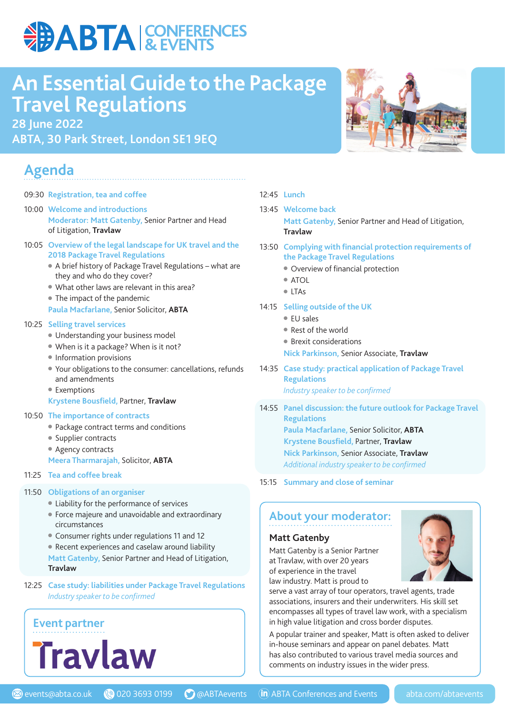## **DABTA & EVENTS**

## **An Essential Guide to the Package Travel Regulations**

**28 June 2022**

**ABTA, 30 Park Street, London SE1 9EQ**

### **Agenda**

- 09:30 **Registration, tea and coffee**
- 10:00 **Welcome and introductions Moderator: Matt Gatenby,** Senior Partner and Head of Litigation, **Travlaw**
- 10:05 **Overview of the legal landscape for UK travel and the 2018 Package Travel Regulations** 
	- A brief history of Package Travel Regulations what are they and who do they cover?
	- What other laws are relevant in this area?
	- The impact of the pandemic
	- **Paula Macfarlane,** Senior Solicitor, **ABTA**

#### 10:25 **Selling travel services**

- Understanding your business model
- When is it a package? When is it not?
- Information provisions
- Your obligations to the consumer: cancellations, refunds and amendments
- Exemptions
- **Krystene Bousfield, Partner, Travlaw**

#### 10:50 **The importance of contracts**

- Package contract terms and conditions
- Supplier contracts
- Agency contracts
- **Meera Tharmarajah,** Solicitor, **ABTA**
- 11:25 **Tea and coffee break**

#### 11:50 **Obligations of an organiser**

- Liability for the performance of services
- Force majeure and unavoidable and extraordinary circumstances
- Consumer rights under regulations 11 and 12
- Recent experiences and caselaw around liability **Matt Gatenby,** Senior Partner and Head of Litigation, **Travlaw**
- 12:25 **Case study: liabilities under Package Travel Regulations** *Industry speaker to be confirmed*



#### 12:45 **Lunch**

#### 13:45 **Welcome back**

 **Matt Gatenby,** Senior Partner and Head of Litigation, **Travlaw**

- 13:50 Complying with financial protection requirements of **the Package Travel Regulations**
	- Overview of financial protection
	- ATOL
	- LTAs
- 14:15 **Selling outside of the UK**
	- EU sales
	- Rest of the world
	- Brexit considerations
	- **Nick Parkinson,** Senior Associate, **Travlaw**
- 14:35 **Case study: practical application of Package Travel Regulations** *Industry speaker to be confirmed*
- 14:55 **Panel discussion: the future outlook for Package Travel Regulations Paula Macfarlane,** Senior Solicitor, **ABTA Krystene Bousfield, Partner, Travlaw Nick Parkinson,** Senior Associate, **Travlaw**  *Additional industry speaker to be confi rmed*

#### 15:15 **Summary and close of seminar**

#### **About your moderator:**

#### **Matt Gatenby**

Matt Gatenby is a Senior Partner at Travlaw, with over 20 years of experience in the travel law industry. Matt is proud to



serve a vast array of tour operators, travel agents, trade associations, insurers and their underwriters. His skill set encompasses all types of travel law work, with a specialism in high value litigation and cross border disputes.

A popular trainer and speaker, Matt is often asked to deliver in-house seminars and appear on panel debates. Matt has also contributed to various travel media sources and comments on industry issues in the wider press.